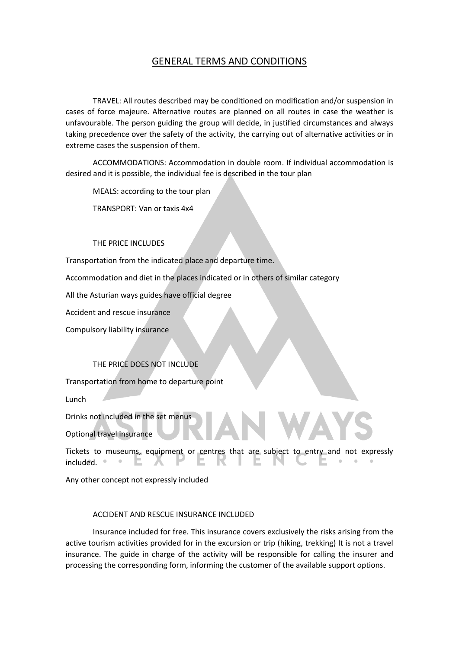## GENERAL TERMS AND CONDITIONS

TRAVEL: All routes described may be conditioned on modification and/or suspension in cases of force majeure. Alternative routes are planned on all routes in case the weather is unfavourable. The person guiding the group will decide, in justified circumstances and always taking precedence over the safety of the activity, the carrying out of alternative activities or in extreme cases the suspension of them.

ACCOMMODATIONS: Accommodation in double room. If individual accommodation is desired and it is possible, the individual fee is described in the tour plan

MEALS: according to the tour plan

TRANSPORT: Van or taxis 4x4

### THE PRICE INCLUDES

Transportation from the indicated place and departure time.

Accommodation and diet in the places indicated or in others of similar category

All the Asturian ways guides have official degree

Accident and rescue insurance

Compulsory liability insurance

#### THE PRICE DOES NOT INCLUDE

Transportation from home to departure point

Lunch

Drinks not included in the set menus

Optional travel insurance

Tickets to museums, equipment or centres that are subject to entry and not expressly E. E. K included. **.** ÷. - E. **AND** 

Any other concept not expressly included

#### ACCIDENT AND RESCUE INSURANCE INCLUDED

Insurance included for free. This insurance covers exclusively the risks arising from the active tourism activities provided for in the excursion or trip (hiking, trekking) It is not a travel insurance. The guide in charge of the activity will be responsible for calling the insurer and processing the corresponding form, informing the customer of the available support options.